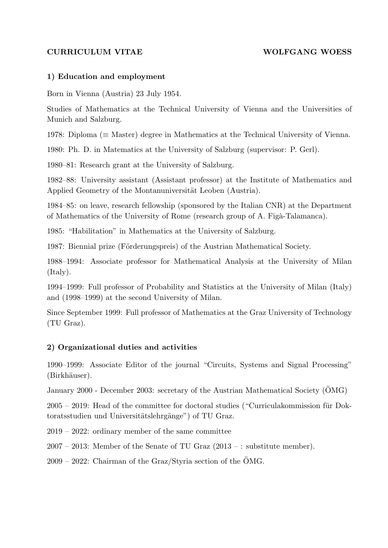#### CURRICULUM VITAE WOLFGANG WOESS

#### 1) Education and employment

Born in Vienna (Austria) 23 July 1954.

Studies of Mathematics at the Technical University of Vienna and the Universities of Munich and Salzburg.

1978: Diploma (≡ Master) degree in Mathematics at the Technical University of Vienna.

1980: Ph. D. in Matematics at the University of Salzburg (supervisor: P. Gerl).

1980–81: Research grant at the University of Salzburg.

1982–88: University assistant (Assistant professor) at the Institute of Mathematics and Applied Geometry of the Montanuniversität Leoben (Austria).

1984–85: on leave, research fellowship (sponsored by the Italian CNR) at the Department of Mathematics of the University of Rome (research group of A. Figà-Talamanca).

1985: "Habilitation" in Mathematics at the University of Salzburg.

1987: Biennial prize (Förderungspreis) of the Austrian Mathematical Society.

1988–1994: Associate professor for Mathematical Analysis at the University of Milan (Italy).

1994–1999: Full professor of Probability and Statistics at the University of Milan (Italy) and (1998–1999) at the second University of Milan.

Since September 1999: Full professor of Mathematics at the Graz University of Technology (TU Graz).

### 2) Organizational duties and activities

1990–1999: Associate Editor of the journal "Circuits, Systems and Signal Processing" (Birkhäuser).

January 2000 - December 2003: secretary of the Austrian Mathematical Society (ÖMG)

 $2005 - 2019$ : Head of the committee for doctoral studies ("Curriculakommission für Doktoratsstudien und Universitätslehrgänge") of TU Graz.

2019 – 2022: ordinary member of the same committee

 $2007 - 2013$ : Member of the Senate of TU Graz  $(2013 - :$  substitute member).

 $2009 - 2022$ : Chairman of the Graz/Styria section of the ÖMG.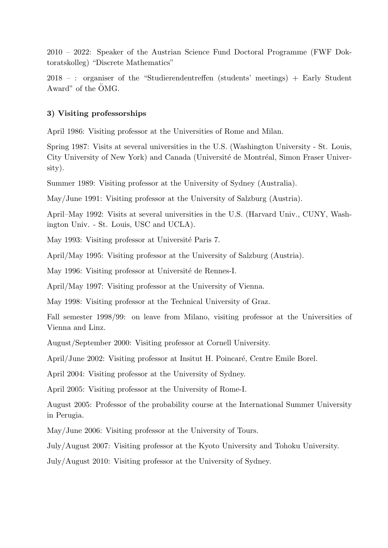2010 – 2022: Speaker of the Austrian Science Fund Doctoral Programme (FWF Doktoratskolleg) "Discrete Mathematics"

2018 – : organiser of the "Studierendentreffen (students' meetings) + Early Student Award" of the OMG.

#### 3) Visiting professorships

April 1986: Visiting professor at the Universities of Rome and Milan.

Spring 1987: Visits at several universities in the U.S. (Washington University - St. Louis, City University of New York) and Canada (Université de Montréal, Simon Fraser University).

Summer 1989: Visiting professor at the University of Sydney (Australia).

May/June 1991: Visiting professor at the University of Salzburg (Austria).

April–May 1992: Visits at several universities in the U.S. (Harvard Univ., CUNY, Washington Univ. - St. Louis, USC and UCLA).

May 1993: Visiting professor at Université Paris 7.

April/May 1995: Visiting professor at the University of Salzburg (Austria).

May 1996: Visiting professor at Université de Rennes-I.

April/May 1997: Visiting professor at the University of Vienna.

May 1998: Visiting professor at the Technical University of Graz.

Fall semester 1998/99: on leave from Milano, visiting professor at the Universities of Vienna and Linz.

August/September 2000: Visiting professor at Cornell University.

April/June 2002: Visiting professor at Insitut H. Poincaré, Centre Emile Borel.

April 2004: Visiting professor at the University of Sydney.

April 2005: Visiting professor at the University of Rome-I.

August 2005: Professor of the probability course at the International Summer University in Perugia.

May/June 2006: Visiting professor at the University of Tours.

July/August 2007: Visiting professor at the Kyoto University and Tohoku University.

July/August 2010: Visiting professor at the University of Sydney.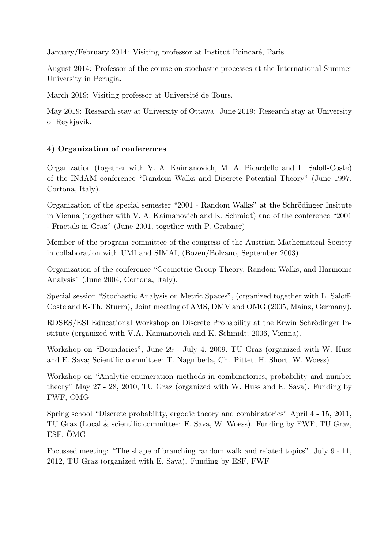January/February 2014: Visiting professor at Institut Poincaré, Paris.

August 2014: Professor of the course on stochastic processes at the International Summer University in Perugia.

March 2019: Visiting professor at Université de Tours.

May 2019: Research stay at University of Ottawa. June 2019: Research stay at University of Reykjavik.

## 4) Organization of conferences

Organization (together with V. A. Kaimanovich, M. A. Picardello and L. Saloff-Coste) of the INdAM conference "Random Walks and Discrete Potential Theory" (June 1997, Cortona, Italy).

Organization of the special semester "2001 - Random Walks" at the Schrödinger Insitute in Vienna (together with V. A. Kaimanovich and K. Schmidt) and of the conference "2001 - Fractals in Graz" (June 2001, together with P. Grabner).

Member of the program committee of the congress of the Austrian Mathematical Society in collaboration with UMI and SIMAI, (Bozen/Bolzano, September 2003).

Organization of the conference "Geometric Group Theory, Random Walks, and Harmonic Analysis" (June 2004, Cortona, Italy).

Special session "Stochastic Analysis on Metric Spaces", (organized together with L. Saloff-Coste and K-Th. Sturm), Joint meeting of AMS, DMV and OMG (2005, Mainz, Germany).

RDSES/ESI Educational Workshop on Discrete Probability at the Erwin Schrödinger Institute (organized with V.A. Kaimanovich and K. Schmidt; 2006, Vienna).

Workshop on "Boundaries", June 29 - July 4, 2009, TU Graz (organized with W. Huss and E. Sava; Scientific committee: T. Nagnibeda, Ch. Pittet, H. Short, W. Woess)

Workshop on "Analytic enumeration methods in combinatorics, probability and number theory" May 27 - 28, 2010, TU Graz (organized with W. Huss and E. Sava). Funding by FWF,  $\ddot{\text{O}}\text{MG}$ 

Spring school "Discrete probability, ergodic theory and combinatorics" April 4 - 15, 2011, TU Graz (Local & scientific committee: E. Sava, W. Woess). Funding by FWF, TU Graz, ESF,  $\ddot{\text{OMG}}$ 

Focussed meeting: "The shape of branching random walk and related topics", July 9 - 11, 2012, TU Graz (organized with E. Sava). Funding by ESF, FWF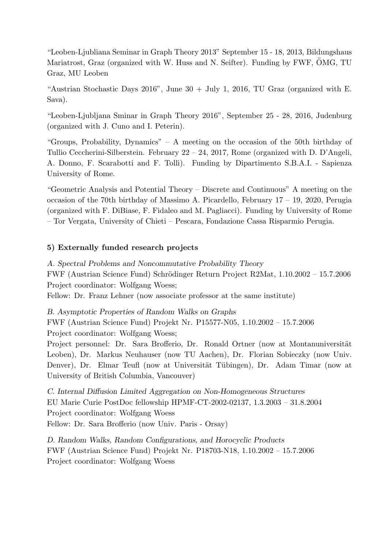"Leoben-Ljubliana Seminar in Graph Theory 2013" September 15 - 18, 2013, Bildungshaus Mariatrost, Graz (organized with W. Huss and N. Seifter). Funding by FWF, OMG, TU Graz, MU Leoben

"Austrian Stochastic Days 2016", June  $30 +$  July 1, 2016, TU Graz (organized with E. Sava).

"Leoben-Ljubljana Sminar in Graph Theory 2016", September 25 - 28, 2016, Judenburg (organized with J. Cuno and I. Peterin).

"Groups, Probability, Dynamics" – A meeting on the occasion of the 50th birthday of Tullio Ceccherini-Silberstein. February 22 – 24, 2017, Rome (organized with D. D'Angeli, A. Donno, F. Scarabotti and F. Tolli). Funding by Dipartimento S.B.A.I. - Sapienza University of Rome.

"Geometric Analysis and Potential Theory – Discrete and Continuous" A meeting on the occasion of the 70th birthday of Massimo A. Picardello, February 17 – 19, 2020, Perugia (organized with F. DiBiase, F. Fidaleo and M. Pagliacci). Funding by University of Rome – Tor Vergata, University of Chieti – Pescara, Fondazione Cassa Risparmio Perugia.

### 5) Externally funded research projects

A. Spectral Problems and Noncommutative Probability Theory FWF (Austrian Science Fund) Schrödinger Return Project R2Mat, 1.10.2002 – 15.7.2006 Project coordinator: Wolfgang Woess; Fellow: Dr. Franz Lehner (now associate professor at the same institute)

B. Asymptotic Properties of Random Walks on Graphs

FWF (Austrian Science Fund) Projekt Nr. P15577-N05, 1.10.2002 – 15.7.2006 Project coordinator: Wolfgang Woess;

Project personnel: Dr. Sara Brofferio, Dr. Ronald Ortner (now at Montanuniversität Leoben), Dr. Markus Neuhauser (now TU Aachen), Dr. Florian Sobieczky (now Univ. Denver), Dr. Elmar Teufl (now at Universität Tübingen), Dr. Adam Timar (now at University of British Columbia, Vancouver)

C. Internal Diffusion Limited Aggregation on Non-Homogeneous Structures EU Marie Curie PostDoc fellowship HPMF-CT-2002-02137, 1.3.2003 – 31.8.2004 Project coordinator: Wolfgang Woess Fellow: Dr. Sara Brofferio (now Univ. Paris - Orsay)

D. Random Walks, Random Configurations, and Horocyclic Products FWF (Austrian Science Fund) Projekt Nr. P18703-N18, 1.10.2002 – 15.7.2006 Project coordinator: Wolfgang Woess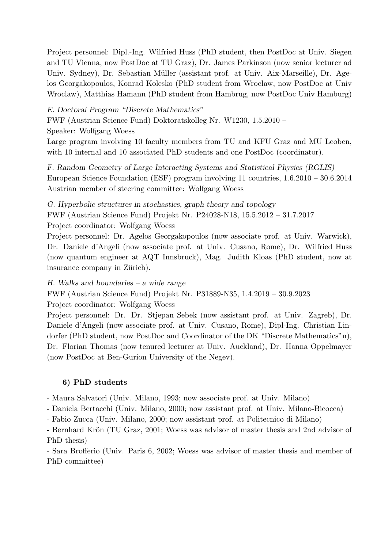Project personnel: Dipl.-Ing. Wilfried Huss (PhD student, then PostDoc at Univ. Siegen and TU Vienna, now PostDoc at TU Graz), Dr. James Parkinson (now senior lecturer ad Univ. Sydney), Dr. Sebastian Müller (assistant prof. at Univ. Aix-Marseille), Dr. Agelos Georgakopoulos, Konrad Kolesko (PhD student from Wroclaw, now PostDoc at Univ Wroclaw), Matthias Hamann (PhD student from Hambrug, now PostDoc Univ Hamburg)

E. Doctoral Program "Discrete Mathematics"

FWF (Austrian Science Fund) Doktoratskolleg Nr. W1230, 1.5.2010 –

Speaker: Wolfgang Woess

Large program involving 10 faculty members from TU and KFU Graz and MU Leoben, with 10 internal and 10 associated PhD students and one PostDoc (coordinator).

F. Random Geometry of Large Interacting Systems and Statistical Physics (RGLIS) European Science Foundation (ESF) program involving 11 countries, 1.6.2010 – 30.6.2014 Austrian member of steering committee: Wolfgang Woess

G. Hyperbolic structures in stochastics, graph theory and topology FWF (Austrian Science Fund) Projekt Nr. P24028-N18, 15.5.2012 – 31.7.2017 Project coordinator: Wolfgang Woess

Project personnel: Dr. Agelos Georgakopoulos (now associate prof. at Univ. Warwick), Dr. Daniele d'Angeli (now associate prof. at Univ. Cusano, Rome), Dr. Wilfried Huss (now quantum engineer at AQT Innsbruck), Mag. Judith Kloas (PhD student, now at insurance company in Zürich).

H. Walks and boundaries – a wide range

FWF (Austrian Science Fund) Projekt Nr. P31889-N35, 1.4.2019 – 30.9.2023 Project coordinator: Wolfgang Woess

Project personnel: Dr. Dr. Stjepan Sebek (now assistant prof. at Univ. Zagreb), Dr. Daniele d'Angeli (now associate prof. at Univ. Cusano, Rome), Dipl-Ing. Christian Lindorfer (PhD student, now PostDoc and Coordinator of the DK "Discrete Mathematics"n), Dr. Florian Thomas (now tenured lecturer at Univ. Auckland), Dr. Hanna Oppelmayer (now PostDoc at Ben-Gurion University of the Negev).

## 6) PhD students

- Maura Salvatori (Univ. Milano, 1993; now associate prof. at Univ. Milano)

- Daniela Bertacchi (Univ. Milano, 2000; now assistant prof. at Univ. Milano-Bicocca)

- Fabio Zucca (Univ. Milano, 2000; now assistant prof. at Politecnico di Milano)

- Bernhard Krön (TU Graz, 2001; Woess was advisor of master thesis and 2nd advisor of PhD thesis)

- Sara Brofferio (Univ. Paris 6, 2002; Woess was advisor of master thesis and member of PhD committee)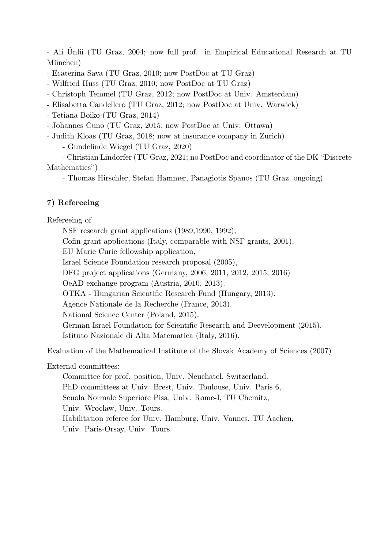- Ali Unlü (TU Graz, 2004; now full prof. in Empirical Educational Research at TU München)

- Ecaterina Sava (TU Graz, 2010; now PostDoc at TU Graz)

- Wilfried Huss (TU Graz, 2010; now PostDoc at TU Graz)

- Christoph Temmel (TU Graz, 2012; now PostDoc at Univ. Amsterdam)

- Elisabetta Candellero (TU Graz, 2012; now PostDoc at Univ. Warwick)

- Tetiana Boiko (TU Graz, 2014)

- Johannes Cuno (TU Graz, 2015; now PostDoc at Univ. Ottawa)

- Judith Kloas (TU Graz, 2018; now at insurance company in Zurich)

- Gundelinde Wiegel (TU Graz, 2020)

- Christian Lindorfer (TU Graz, 2021; no PostDoc and coordinator of the DK "Discrete Mathematics")

- Thomas Hirschler, Stefan Hammer, Panagiotis Spanos (TU Graz, ongoing)

# 7) Refereeing

Refereeing of

NSF research grant applications (1989,1990, 1992),

Cofin grant applications (Italy, comparable with NSF grants, 2001),

EU Marie Curie fellowship application,

Israel Science Foundation research proposal (2005),

DFG project applications (Germany, 2006, 2011, 2012, 2015, 2016)

OeAD exchange program (Austria, 2010, 2013).

OTKA - Hungarian Scientific Research Fund (Hungary, 2013).

Agence Nationale de la Recherche (France, 2013).

National Science Center (Poland, 2015).

German-Israel Foundation for Scientific Research and Deevelopment (2015).

Istituto Nazionale di Alta Matematica (Italy, 2016).

Evaluation of the Mathematical Institute of the Slovak Academy of Sciences (2007)

External committees:

Committee for prof. position, Univ. Neuchatel, Switzerland. PhD committees at Univ. Brest, Univ. Toulouse, Univ. Paris 6, Scuola Normale Superiore Pisa, Univ. Rome-I, TU Chemitz, Univ. Wroclaw, Univ. Tours. Habilitation referee for Univ. Hamburg, Univ. Vannes, TU Aachen, Univ. Paris-Orsay, Univ. Tours.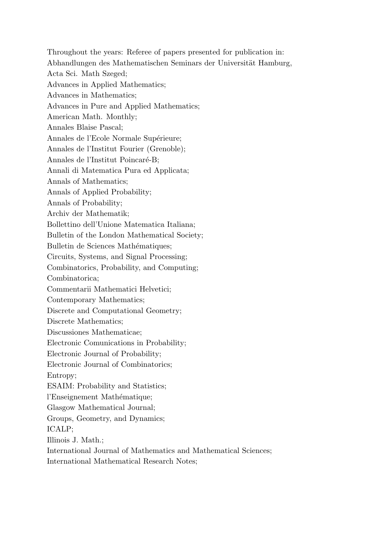Throughout the years: Referee of papers presented for publication in: Abhandlungen des Mathematischen Seminars der Universität Hamburg, Acta Sci. Math Szeged; Advances in Applied Mathematics; Advances in Mathematics; Advances in Pure and Applied Mathematics; American Math. Monthly; Annales Blaise Pascal; Annales de l'Ecole Normale Supérieure; Annales de l'Institut Fourier (Grenoble); Annales de l'Institut Poincaré-B; Annali di Matematica Pura ed Applicata; Annals of Mathematics; Annals of Applied Probability; Annals of Probability; Archiv der Mathematik; Bollettino dell'Unione Matematica Italiana; Bulletin of the London Mathematical Society; Bulletin de Sciences Mathématiques: Circuits, Systems, and Signal Processing; Combinatorics, Probability, and Computing; Combinatorica; Commentarii Mathematici Helvetici; Contemporary Mathematics; Discrete and Computational Geometry; Discrete Mathematics; Discussiones Mathematicae; Electronic Comunications in Probability; Electronic Journal of Probability; Electronic Journal of Combinatorics; Entropy; ESAIM: Probability and Statistics; l'Enseignement Mathématique; Glasgow Mathematical Journal; Groups, Geometry, and Dynamics; ICALP; Illinois J. Math.; International Journal of Mathematics and Mathematical Sciences; International Mathematical Research Notes;